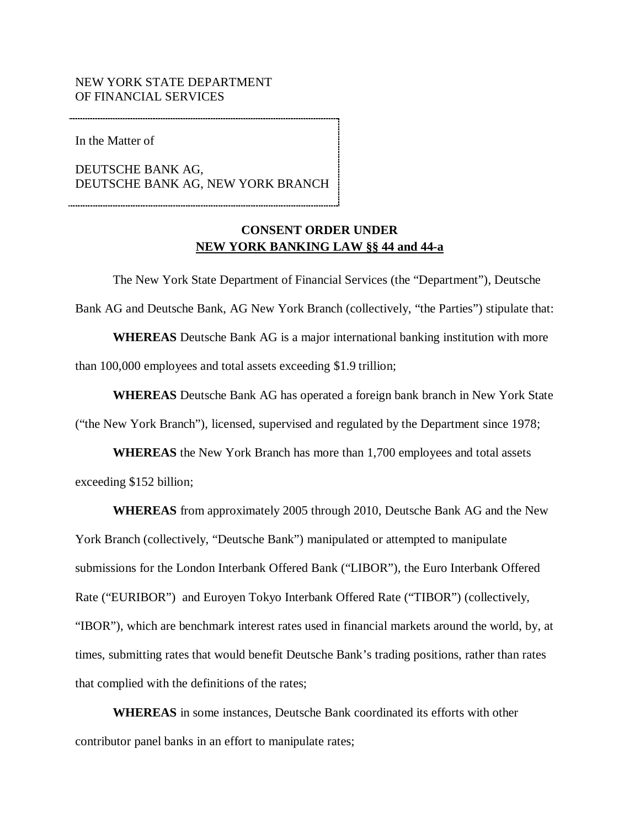the Matter of

BANK AG, In the Matter of<br>DEUTSCHE BANK AG,<br>DEUTSCHE BANK AG, NEW YORK BRANCH

## **EXECUTE: CONSENT ORDER UNDER<br>NEW YORK BANKING LAW §§ 44 and 44-a CONSENT ORDER UNDER**

 The New York State Department of Financial Services (the "Department"), Deutsche Bank AG and Deutsche Bank, AG New York Branch (collectively, "the Parties") stipulate that:

 **WHEREAS** Deutsche Bank AG is a major international banking institution with more than 100,000 employees and total assets exceeding \$1.9 trillion;

 **WHEREAS** Deutsche Bank AG has operated a foreign bank branch in New York State ("the New York Branch"), licensed, supervised and regulated by the Department since 1978;

 **WHEREAS** the New York Branch has more than 1,700 employees and total assets exceeding \$152 billion;

 **WHEREAS** from approximately 2005 through 2010, Deutsche Bank AG and the New York Branch (collectively, "Deutsche Bank") manipulated or attempted to manipulate submissions for the London Interbank Offered Bank ("LIBOR"), the Euro Interbank Offered Rate ("EURIBOR") and Euroyen Tokyo Interbank Offered Rate ("TIBOR") (collectively, "IBOR"), which are benchmark interest rates used in financial markets around the world, by, at times, submitting rates that would benefit Deutsche Bank's trading positions, rather than rates that complied with the definitions of the rates;

 **WHEREAS** in some instances, Deutsche Bank coordinated its efforts with other contributor panel banks in an effort to manipulate rates;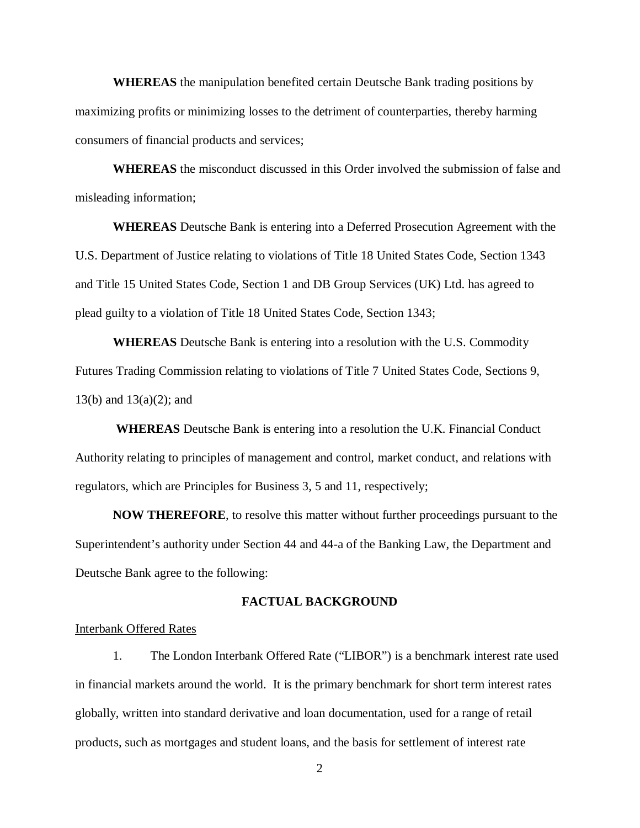**WHEREAS** the manipulation benefited certain Deutsche Bank trading positions by maximizing profits or minimizing losses to the detriment of counterparties, thereby harming consumers of financial products and services;

 **WHEREAS** the misconduct discussed in this Order involved the submission of false and misleading information;

 **WHEREAS** Deutsche Bank is entering into a Deferred Prosecution Agreement with the U.S. Department of Justice relating to violations of Title 18 United States Code, Section 1343 and Title 15 United States Code, Section 1 and DB Group Services (UK) Ltd. has agreed to plead guilty to a violation of Title 18 United States Code, Section 1343;

 **WHEREAS** Deutsche Bank is entering into a resolution with the U.S. Commodity Futures Trading Commission relating to violations of Title 7 United States Code, Sections 9, 13(b) and 13(a)(2); and

 **WHEREAS** Deutsche Bank is entering into a resolution the U.K. Financial Conduct Authority relating to principles of management and control, market conduct, and relations with regulators, which are Principles for Business 3, 5 and 11, respectively;

 **NOW THEREFORE**, to resolve this matter without further proceedings pursuant to the Superintendent's authority under Section 44 and 44-a of the Banking Law, the Department and Deutsche Bank agree to the following:

### **FACTUAL BACKGROUND**

### Interbank Offered Rates

 1. The London Interbank Offered Rate ("LIBOR") is a benchmark interest rate used in financial markets around the world. It is the primary benchmark for short term interest rates globally, written into standard derivative and loan documentation, used for a range of retail products, such as mortgages and student loans, and the basis for settlement of interest rate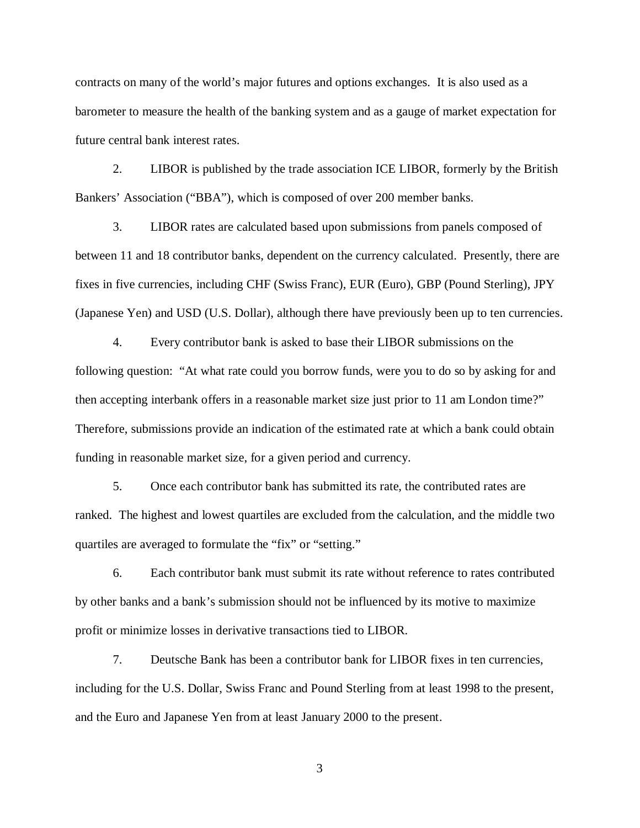contracts on many of the world's major futures and options exchanges. It is also used as a barometer to measure the health of the banking system and as a gauge of market expectation for future central bank interest rates.

 2. LIBOR is published by the trade association ICE LIBOR, formerly by the British Bankers' Association ("BBA"), which is composed of over 200 member banks.

 3. LIBOR rates are calculated based upon submissions from panels composed of between 11 and 18 contributor banks, dependent on the currency calculated. Presently, there are fixes in five currencies, including CHF (Swiss Franc), EUR (Euro), GBP (Pound Sterling), JPY (Japanese Yen) and USD (U.S. Dollar), although there have previously been up to ten currencies.

 4. Every contributor bank is asked to base their LIBOR submissions on the following question: "At what rate could you borrow funds, were you to do so by asking for and then accepting interbank offers in a reasonable market size just prior to 11 am London time?" Therefore, submissions provide an indication of the estimated rate at which a bank could obtain funding in reasonable market size, for a given period and currency.

 5. Once each contributor bank has submitted its rate, the contributed rates are ranked. The highest and lowest quartiles are excluded from the calculation, and the middle two quartiles are averaged to formulate the "fix" or "setting."

 6. Each contributor bank must submit its rate without reference to rates contributed by other banks and a bank's submission should not be influenced by its motive to maximize profit or minimize losses in derivative transactions tied to LIBOR.

 7. Deutsche Bank has been a contributor bank for LIBOR fixes in ten currencies, including for the U.S. Dollar, Swiss Franc and Pound Sterling from at least 1998 to the present, and the Euro and Japanese Yen from at least January 2000 to the present.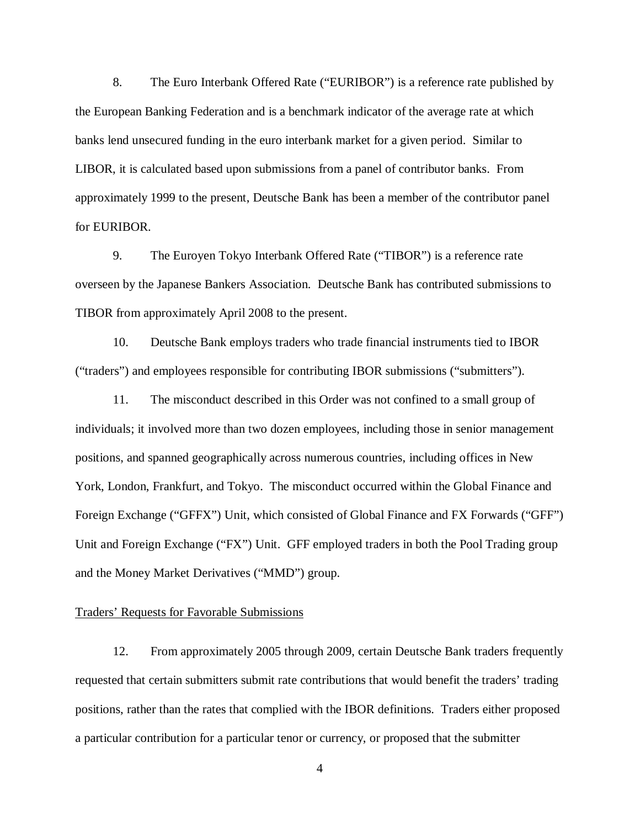8. The Euro Interbank Offered Rate ("EURIBOR") is a reference rate published by the European Banking Federation and is a benchmark indicator of the average rate at which banks lend unsecured funding in the euro interbank market for a given period. Similar to LIBOR, it is calculated based upon submissions from a panel of contributor banks. From approximately 1999 to the present, Deutsche Bank has been a member of the contributor panel for EURIBOR.

 9. The Euroyen Tokyo Interbank Offered Rate ("TIBOR") is a reference rate overseen by the Japanese Bankers Association. Deutsche Bank has contributed submissions to TIBOR from approximately April 2008 to the present.

 10. Deutsche Bank employs traders who trade financial instruments tied to IBOR ("traders") and employees responsible for contributing IBOR submissions ("submitters").

 11. The misconduct described in this Order was not confined to a small group of individuals; it involved more than two dozen employees, including those in senior management positions, and spanned geographically across numerous countries, including offices in New York, London, Frankfurt, and Tokyo. The misconduct occurred within the Global Finance and Foreign Exchange ("GFFX") Unit, which consisted of Global Finance and FX Forwards ("GFF") Unit and Foreign Exchange ("FX") Unit. GFF employed traders in both the Pool Trading group and the Money Market Derivatives ("MMD") group.

### Traders' Requests for Favorable Submissions

 12. From approximately 2005 through 2009, certain Deutsche Bank traders frequently requested that certain submitters submit rate contributions that would benefit the traders' trading positions, rather than the rates that complied with the IBOR definitions. Traders either proposed a particular contribution for a particular tenor or currency, or proposed that the submitter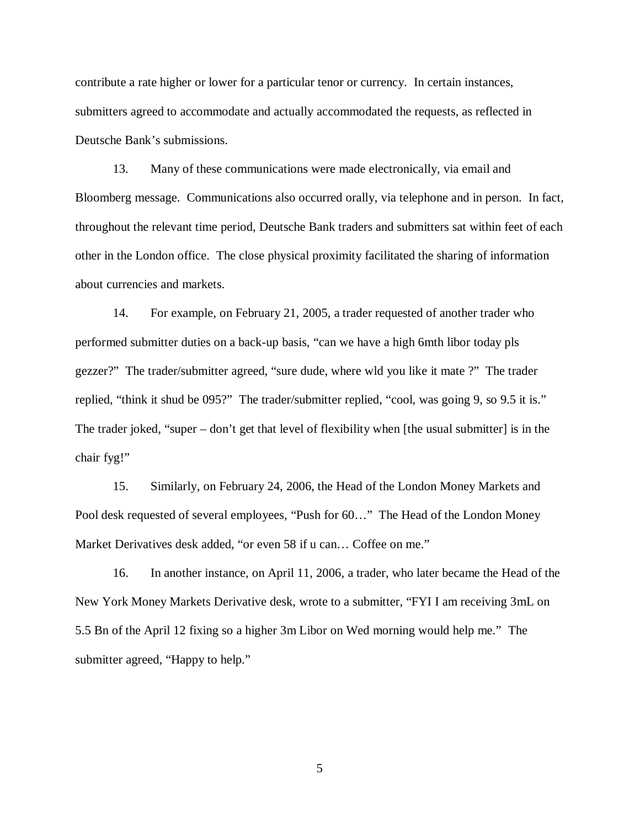contribute a rate higher or lower for a particular tenor or currency. In certain instances, submitters agreed to accommodate and actually accommodated the requests, as reflected in Deutsche Bank's submissions.

 13. Many of these communications were made electronically, via email and Bloomberg message. Communications also occurred orally, via telephone and in person. In fact, throughout the relevant time period, Deutsche Bank traders and submitters sat within feet of each other in the London office. The close physical proximity facilitated the sharing of information about currencies and markets.

 14. For example, on February 21, 2005, a trader requested of another trader who performed submitter duties on a back-up basis, "can we have a high 6mth libor today pls gezzer?" The trader/submitter agreed, "sure dude, where wld you like it mate ?" The trader replied, "think it shud be 095?" The trader/submitter replied, "cool, was going 9, so 9.5 it is." The trader joked, "super – don't get that level of flexibility when [the usual submitter] is in the chair fyg!"

 15. Similarly, on February 24, 2006, the Head of the London Money Markets and Pool desk requested of several employees, "Push for 60…" The Head of the London Money Market Derivatives desk added, "or even 58 if u can… Coffee on me."

 16. In another instance, on April 11, 2006, a trader, who later became the Head of the New York Money Markets Derivative desk, wrote to a submitter, "FYI I am receiving 3mL on 5.5 Bn of the April 12 fixing so a higher 3m Libor on Wed morning would help me." The submitter agreed, "Happy to help."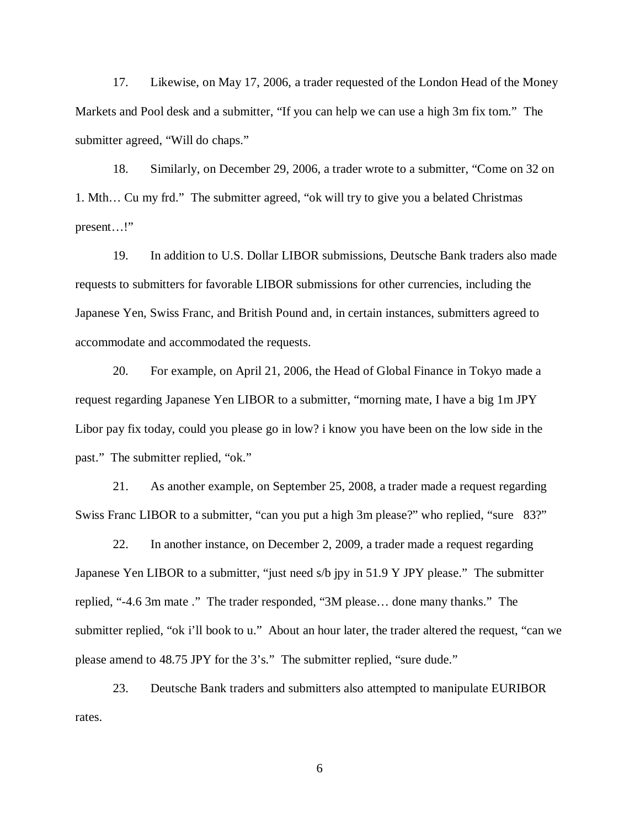17. Likewise, on May 17, 2006, a trader requested of the London Head of the Money Markets and Pool desk and a submitter, "If you can help we can use a high 3m fix tom." The submitter agreed, "Will do chaps."

 18. Similarly, on December 29, 2006, a trader wrote to a submitter, "Come on 32 on 1. Mth… Cu my frd." The submitter agreed, "ok will try to give you a belated Christmas present…!"

 19. In addition to U.S. Dollar LIBOR submissions, Deutsche Bank traders also made requests to submitters for favorable LIBOR submissions for other currencies, including the Japanese Yen, Swiss Franc, and British Pound and, in certain instances, submitters agreed to accommodate and accommodated the requests.

 20. For example, on April 21, 2006, the Head of Global Finance in Tokyo made a request regarding Japanese Yen LIBOR to a submitter, "morning mate, I have a big 1m JPY Libor pay fix today, could you please go in low? i know you have been on the low side in the past." The submitter replied, "ok."

 21. As another example, on September 25, 2008, a trader made a request regarding Swiss Franc LIBOR to a submitter, "can you put a high 3m please?" who replied, "sure 83?"

 22. In another instance, on December 2, 2009, a trader made a request regarding Japanese Yen LIBOR to a submitter, "just need s/b jpy in 51.9 Y JPY please." The submitter replied, "-4.6 3m mate ." The trader responded, "3M please… done many thanks." The submitter replied, "ok i'll book to u." About an hour later, the trader altered the request, "can we please amend to 48.75 JPY for the 3's." The submitter replied, "sure dude."

 23. Deutsche Bank traders and submitters also attempted to manipulate EURIBOR rates.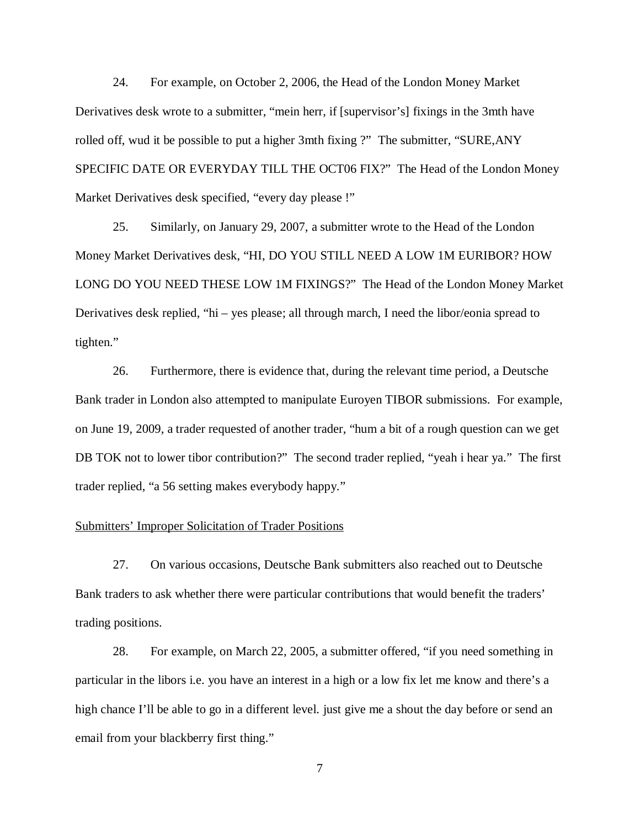24. For example, on October 2, 2006, the Head of the London Money Market Derivatives desk wrote to a submitter, "mein herr, if [supervisor's] fixings in the 3mth have rolled off, wud it be possible to put a higher 3mth fixing ?" The submitter, "SURE,ANY SPECIFIC DATE OR EVERYDAY TILL THE OCT06 FIX?" The Head of the London Money Market Derivatives desk specified, "every day please !"

 25. Similarly, on January 29, 2007, a submitter wrote to the Head of the London Money Market Derivatives desk, "HI, DO YOU STILL NEED A LOW 1M EURIBOR? HOW LONG DO YOU NEED THESE LOW 1M FIXINGS?" The Head of the London Money Market Derivatives desk replied, "hi – yes please; all through march, I need the libor/eonia spread to tighten." tighten." 26. Furthermore, there is evidence that, during the relevant time period, a Deutsche

 Bank trader in London also attempted to manipulate Euroyen TIBOR submissions. For example, on June 19, 2009, a trader requested of another trader, "hum a bit of a rough question can we get DB TOK not to lower tibor contribution?" The second trader replied, "yeah i hear ya." The first trader replied, "a 56 setting makes everybody happy."

### Submitters' Improper Solicitation of Trader Positions

 27. On various occasions, Deutsche Bank submitters also reached out to Deutsche Bank traders to ask whether there were particular contributions that would benefit the traders' trading positions.

 28. For example, on March 22, 2005, a submitter offered, "if you need something in particular in the libors i.e. you have an interest in a high or a low fix let me know and there's a high chance I'll be able to go in a different level. just give me a shout the day before or send an email from your blackberry first thing."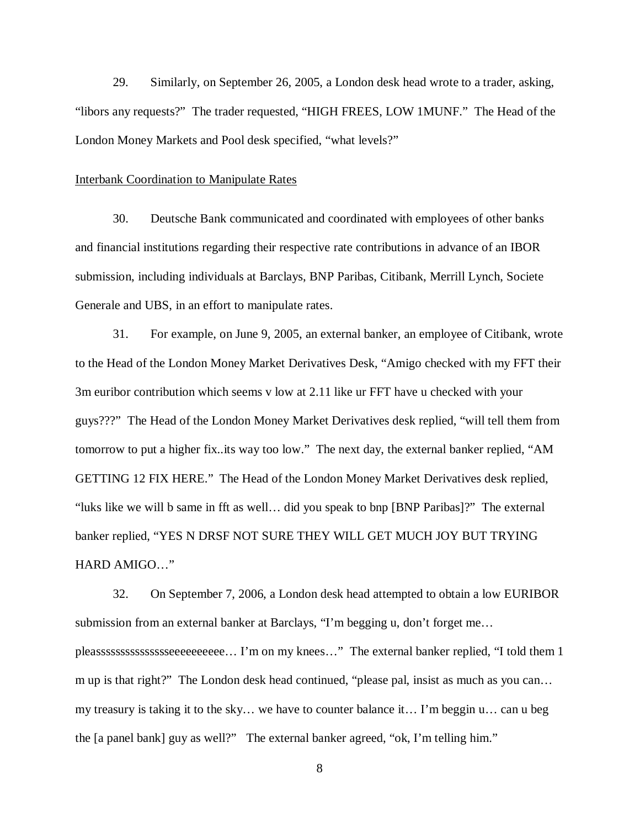29. Similarly, on September 26, 2005, a London desk head wrote to a trader, asking, "libors any requests?" The trader requested, "HIGH FREES, LOW 1MUNF." The Head of the London Money Markets and Pool desk specified, "what levels?"

### Interbank Coordination to Manipulate Rates

 30. Deutsche Bank communicated and coordinated with employees of other banks and financial institutions regarding their respective rate contributions in advance of an IBOR submission, including individuals at Barclays, BNP Paribas, Citibank, Merrill Lynch, Societe Generale and UBS, in an effort to manipulate rates.

 31. For example, on June 9, 2005, an external banker, an employee of Citibank, wrote to the Head of the London Money Market Derivatives Desk, "Amigo checked with my FFT their 3m euribor contribution which seems v low at 2.11 like ur FFT have u checked with your guys???" The Head of the London Money Market Derivatives desk replied, "will tell them from tomorrow to put a higher fix..its way too low." The next day, the external banker replied, "AM GETTING 12 FIX HERE." The Head of the London Money Market Derivatives desk replied, "luks like we will b same in fft as well… did you speak to bnp [BNP Paribas]?" The external banker replied, "YES N DRSF NOT SURE THEY WILL GET MUCH JOY BUT TRYING HARD AMIGO…"

 32. On September 7, 2006, a London desk head attempted to obtain a low EURIBOR submission from an external banker at Barclays, "I'm begging u, don't forget me… pleassssssssssssssseeeeeeeeee… I'm on my knees…" The external banker replied, "I told them 1 m up is that right?" The London desk head continued, "please pal, insist as much as you can… my treasury is taking it to the sky… we have to counter balance it… I'm beggin u… can u beg the [a panel bank] guy as well?" The external banker agreed, "ok, I'm telling him."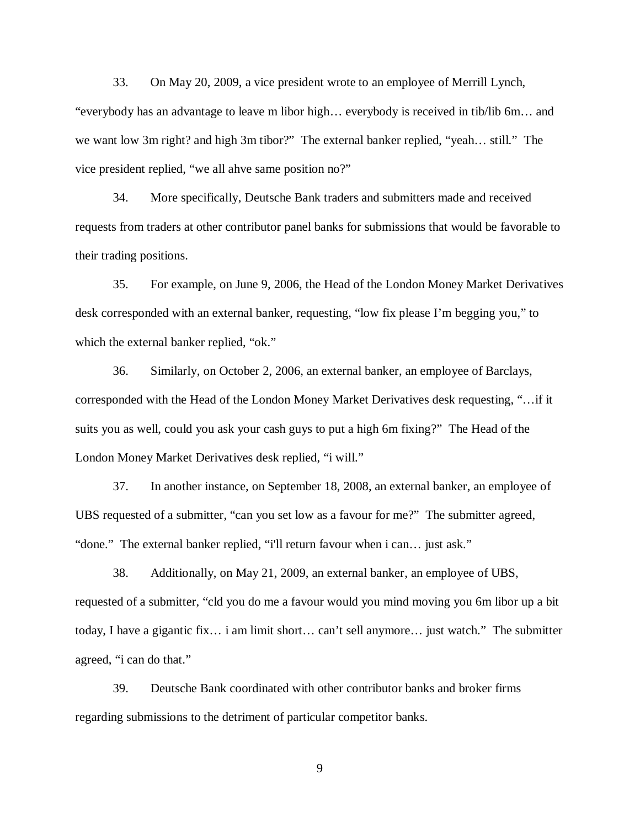33. On May 20, 2009, a vice president wrote to an employee of Merrill Lynch, "everybody has an advantage to leave m libor high… everybody is received in tib/lib 6m… and we want low 3m right? and high 3m tibor?" The external banker replied, "yeah… still." The vice president replied, "we all ahve same position no?"

 34. More specifically, Deutsche Bank traders and submitters made and received requests from traders at other contributor panel banks for submissions that would be favorable to their trading positions.

 35. For example, on June 9, 2006, the Head of the London Money Market Derivatives desk corresponded with an external banker, requesting, "low fix please I'm begging you," to which the external banker replied, "ok."

 36. Similarly, on October 2, 2006, an external banker, an employee of Barclays, corresponded with the Head of the London Money Market Derivatives desk requesting, "…if it suits you as well, could you ask your cash guys to put a high 6m fixing?" The Head of the London Money Market Derivatives desk replied, "i will."

 37. In another instance, on September 18, 2008, an external banker, an employee of UBS requested of a submitter, "can you set low as a favour for me?" The submitter agreed, "done." The external banker replied, "i'll return favour when i can… just ask."

 38. Additionally, on May 21, 2009, an external banker, an employee of UBS, requested of a submitter, "cld you do me a favour would you mind moving you 6m libor up a bit today, I have a gigantic fix… i am limit short… can't sell anymore… just watch." The submitter agreed, "i can do that."

 39. Deutsche Bank coordinated with other contributor banks and broker firms regarding submissions to the detriment of particular competitor banks.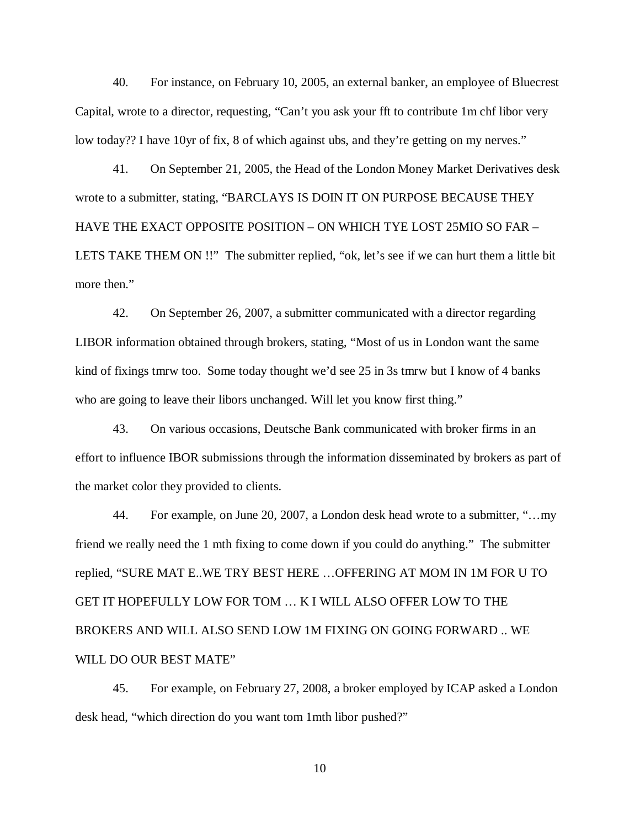40. For instance, on February 10, 2005, an external banker, an employee of Bluecrest Capital, wrote to a director, requesting, "Can't you ask your fft to contribute 1m chf libor very low today?? I have 10yr of fix, 8 of which against ubs, and they're getting on my nerves."

 41. On September 21, 2005, the Head of the London Money Market Derivatives desk wrote to a submitter, stating, "BARCLAYS IS DOIN IT ON PURPOSE BECAUSE THEY HAVE THE EXACT OPPOSITE POSITION – ON WHICH TYE LOST 25MIO SO FAR – LETS TAKE THEM ON !!" The submitter replied, "ok, let's see if we can hurt them a little bit more then."

 42. On September 26, 2007, a submitter communicated with a director regarding LIBOR information obtained through brokers, stating, "Most of us in London want the same kind of fixings tmrw too. Some today thought we'd see 25 in 3s tmrw but I know of 4 banks who are going to leave their libors unchanged. Will let you know first thing."

 43. On various occasions, Deutsche Bank communicated with broker firms in an effort to influence IBOR submissions through the information disseminated by brokers as part of the market color they provided to clients.

 44. For example, on June 20, 2007, a London desk head wrote to a submitter, "…my friend we really need the 1 mth fixing to come down if you could do anything." The submitter replied, "SURE MAT E..WE TRY BEST HERE …OFFERING AT MOM IN 1M FOR U TO GET IT HOPEFULLY LOW FOR TOM … K I WILL ALSO OFFER LOW TO THE BROKERS AND WILL ALSO SEND LOW 1M FIXING ON GOING FORWARD .. WE WILL DO OUR BEST MATE"

 45. For example, on February 27, 2008, a broker employed by ICAP asked a London desk head, "which direction do you want tom 1mth libor pushed?"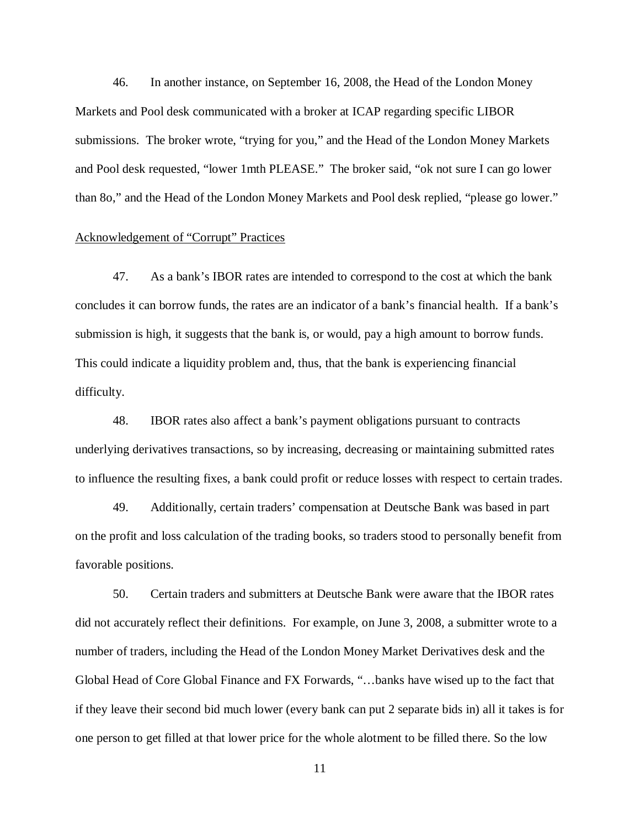46. In another instance, on September 16, 2008, the Head of the London Money Markets and Pool desk communicated with a broker at ICAP regarding specific LIBOR submissions. The broker wrote, "trying for you," and the Head of the London Money Markets and Pool desk requested, "lower 1mth PLEASE." The broker said, "ok not sure I can go lower than 8o," and the Head of the London Money Markets and Pool desk replied, "please go lower."

### Acknowledgement of "Corrupt" Practices

 47. As a bank's IBOR rates are intended to correspond to the cost at which the bank concludes it can borrow funds, the rates are an indicator of a bank's financial health. If a bank's submission is high, it suggests that the bank is, or would, pay a high amount to borrow funds. This could indicate a liquidity problem and, thus, that the bank is experiencing financial difficulty.

 48. IBOR rates also affect a bank's payment obligations pursuant to contracts underlying derivatives transactions, so by increasing, decreasing or maintaining submitted rates to influence the resulting fixes, a bank could profit or reduce losses with respect to certain trades.

 49. Additionally, certain traders' compensation at Deutsche Bank was based in part on the profit and loss calculation of the trading books, so traders stood to personally benefit from favorable positions.

 50. Certain traders and submitters at Deutsche Bank were aware that the IBOR rates did not accurately reflect their definitions. For example, on June 3, 2008, a submitter wrote to a number of traders, including the Head of the London Money Market Derivatives desk and the Global Head of Core Global Finance and FX Forwards, "…banks have wised up to the fact that if they leave their second bid much lower (every bank can put 2 separate bids in) all it takes is for one person to get filled at that lower price for the whole alotment to be filled there. So the low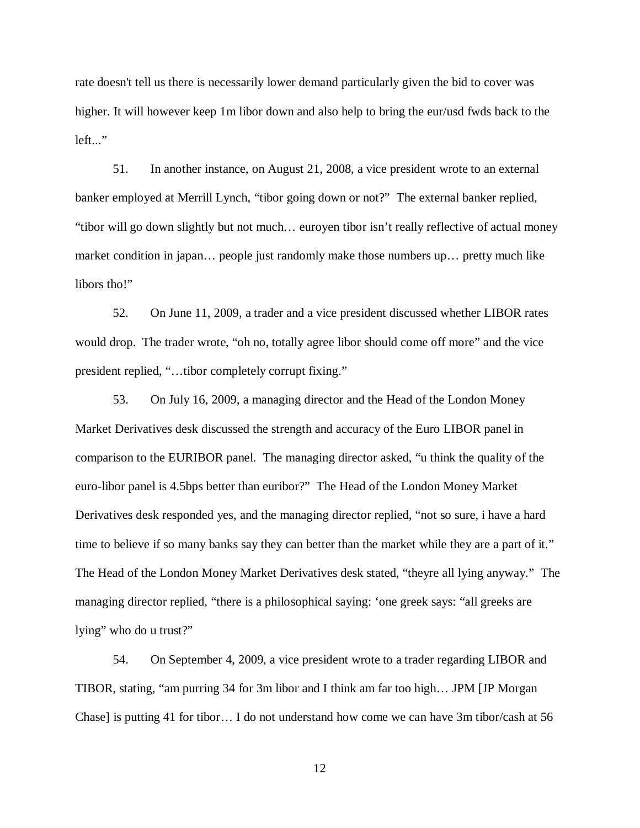rate doesn't tell us there is necessarily lower demand particularly given the bid to cover was higher. It will however keep 1m libor down and also help to bring the eur/usd fwds back to the left..."

 51. In another instance, on August 21, 2008, a vice president wrote to an external banker employed at Merrill Lynch, "tibor going down or not?" The external banker replied, "tibor will go down slightly but not much… euroyen tibor isn't really reflective of actual money market condition in japan… people just randomly make those numbers up… pretty much like libors tho!"

 52. On June 11, 2009, a trader and a vice president discussed whether LIBOR rates would drop. The trader wrote, "oh no, totally agree libor should come off more" and the vice president replied, "…tibor completely corrupt fixing."

 53. On July 16, 2009, a managing director and the Head of the London Money Market Derivatives desk discussed the strength and accuracy of the Euro LIBOR panel in comparison to the EURIBOR panel. The managing director asked, "u think the quality of the euro-libor panel is 4.5bps better than euribor?" The Head of the London Money Market Derivatives desk responded yes, and the managing director replied, "not so sure, i have a hard time to believe if so many banks say they can better than the market while they are a part of it." The Head of the London Money Market Derivatives desk stated, "theyre all lying anyway." The managing director replied, "there is a philosophical saying: 'one greek says: "all greeks are lying" who do u trust?"

 54. On September 4, 2009, a vice president wrote to a trader regarding LIBOR and TIBOR, stating, "am purring 34 for 3m libor and I think am far too high… JPM [JP Morgan Chase] is putting 41 for tibor… I do not understand how come we can have 3m tibor/cash at 56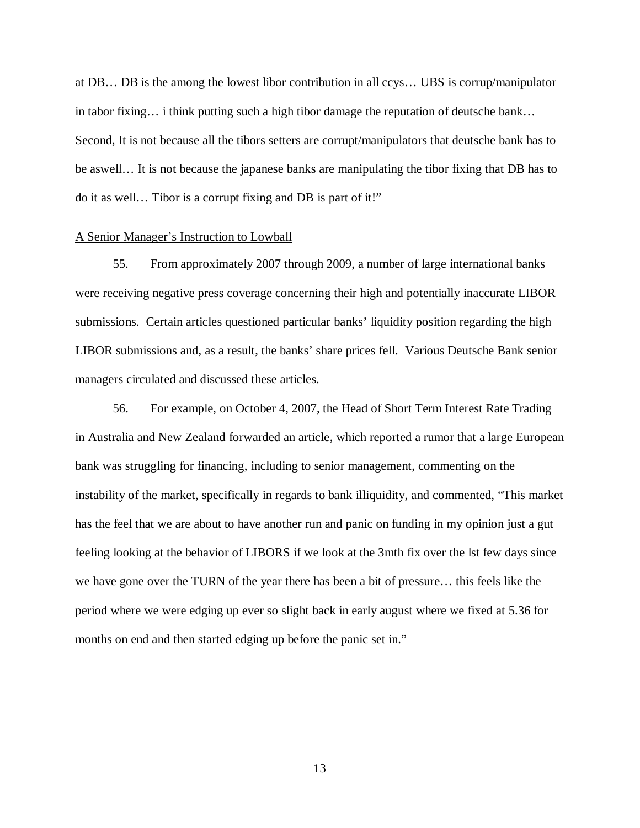at DB… DB is the among the lowest libor contribution in all ccys… UBS is corrup/manipulator in tabor fixing… i think putting such a high tibor damage the reputation of deutsche bank… Second, It is not because all the tibors setters are corrupt/manipulators that deutsche bank has to be aswell… It is not because the japanese banks are manipulating the tibor fixing that DB has to do it as well… Tibor is a corrupt fixing and DB is part of it!"

### A Senior Manager's Instruction to Lowball

 55. From approximately 2007 through 2009, a number of large international banks were receiving negative press coverage concerning their high and potentially inaccurate LIBOR submissions. Certain articles questioned particular banks' liquidity position regarding the high LIBOR submissions and, as a result, the banks' share prices fell. Various Deutsche Bank senior managers circulated and discussed these articles.

 56. For example, on October 4, 2007, the Head of Short Term Interest Rate Trading in Australia and New Zealand forwarded an article, which reported a rumor that a large European bank was struggling for financing, including to senior management, commenting on the instability of the market, specifically in regards to bank illiquidity, and commented, "This market has the feel that we are about to have another run and panic on funding in my opinion just a gut feeling looking at the behavior of LIBORS if we look at the 3mth fix over the lst few days since we have gone over the TURN of the year there has been a bit of pressure… this feels like the period where we were edging up ever so slight back in early august where we fixed at 5.36 for months on end and then started edging up before the panic set in."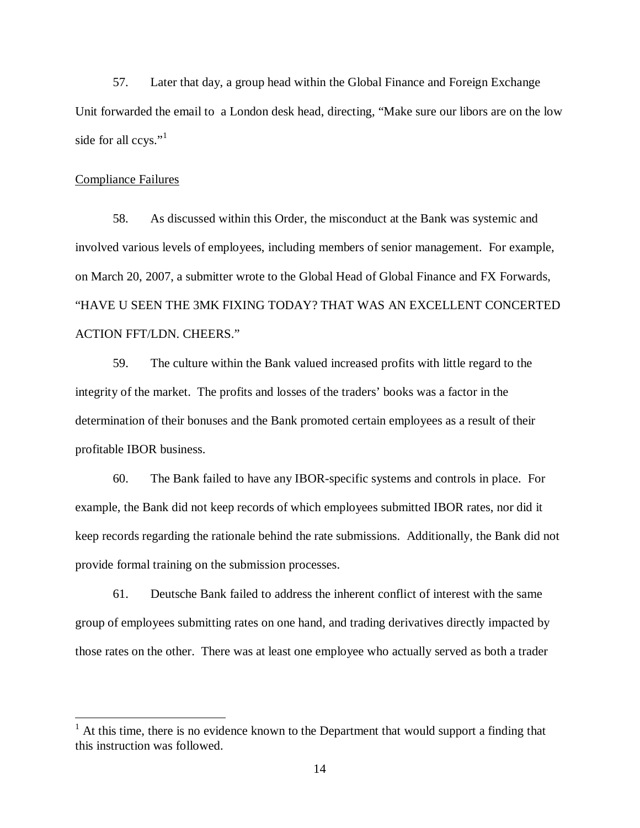57. Later that day, a group head within the Global Finance and Foreign Exchange Unit forwarded the email to a London desk head, directing, "Make sure our libors are on the low side for all ccys."<sup>1</sup>

### Compliance Failures

 $\overline{\phantom{a}}$ 

 58. As discussed within this Order, the misconduct at the Bank was systemic and involved various levels of employees, including members of senior management. For example, on March 20, 2007, a submitter wrote to the Global Head of Global Finance and FX Forwards, "HAVE U SEEN THE 3MK FIXING TODAY? THAT WAS AN EXCELLENT CONCERTED ACTION FFT/LDN. CHEERS."

 59. The culture within the Bank valued increased profits with little regard to the integrity of the market. The profits and losses of the traders' books was a factor in the determination of their bonuses and the Bank promoted certain employees as a result of their profitable IBOR business.

 60. The Bank failed to have any IBOR-specific systems and controls in place. For example, the Bank did not keep records of which employees submitted IBOR rates, nor did it keep records regarding the rationale behind the rate submissions. Additionally, the Bank did not provide formal training on the submission processes.

 61. Deutsche Bank failed to address the inherent conflict of interest with the same group of employees submitting rates on one hand, and trading derivatives directly impacted by those rates on the other. There was at least one employee who actually served as both a trader

 $<sup>1</sup>$  At this time, there is no evidence known to the Department that would support a finding that</sup> this instruction was followed.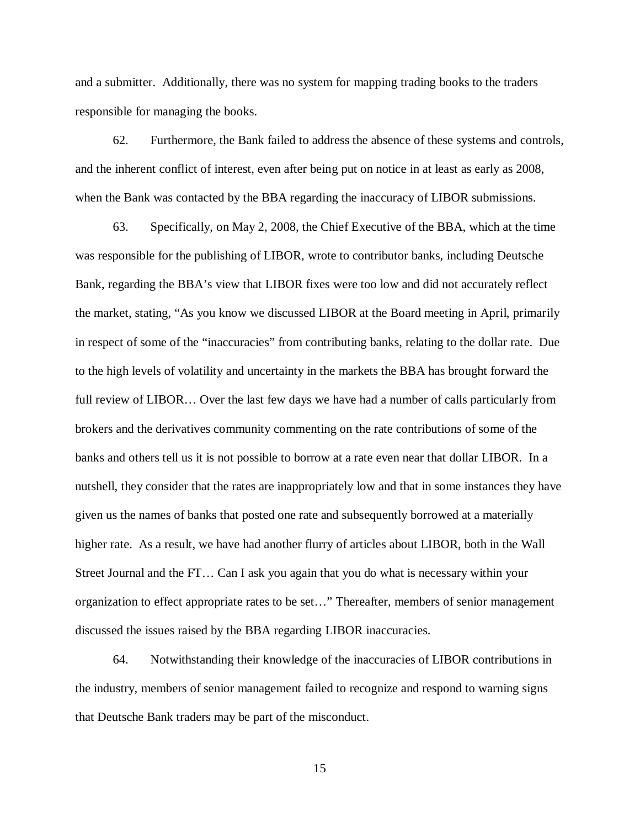and a submitter. Additionally, there was no system for mapping trading books to the traders responsible for managing the books.

 62. Furthermore, the Bank failed to address the absence of these systems and controls, and the inherent conflict of interest, even after being put on notice in at least as early as 2008, when the Bank was contacted by the BBA regarding the inaccuracy of LIBOR submissions.

 63. Specifically, on May 2, 2008, the Chief Executive of the BBA, which at the time was responsible for the publishing of LIBOR, wrote to contributor banks, including Deutsche Bank, regarding the BBA's view that LIBOR fixes were too low and did not accurately reflect the market, stating, "As you know we discussed LIBOR at the Board meeting in April, primarily in respect of some of the "inaccuracies" from contributing banks, relating to the dollar rate. Due to the high levels of volatility and uncertainty in the markets the BBA has brought forward the full review of LIBOR… Over the last few days we have had a number of calls particularly from brokers and the derivatives community commenting on the rate contributions of some of the banks and others tell us it is not possible to borrow at a rate even near that dollar LIBOR. In a nutshell, they consider that the rates are inappropriately low and that in some instances they have given us the names of banks that posted one rate and subsequently borrowed at a materially higher rate. As a result, we have had another flurry of articles about LIBOR, both in the Wall Street Journal and the FT… Can I ask you again that you do what is necessary within your organization to effect appropriate rates to be set…" Thereafter, members of senior management discussed the issues raised by the BBA regarding LIBOR inaccuracies.

 64. Notwithstanding their knowledge of the inaccuracies of LIBOR contributions in the industry, members of senior management failed to recognize and respond to warning signs that Deutsche Bank traders may be part of the misconduct.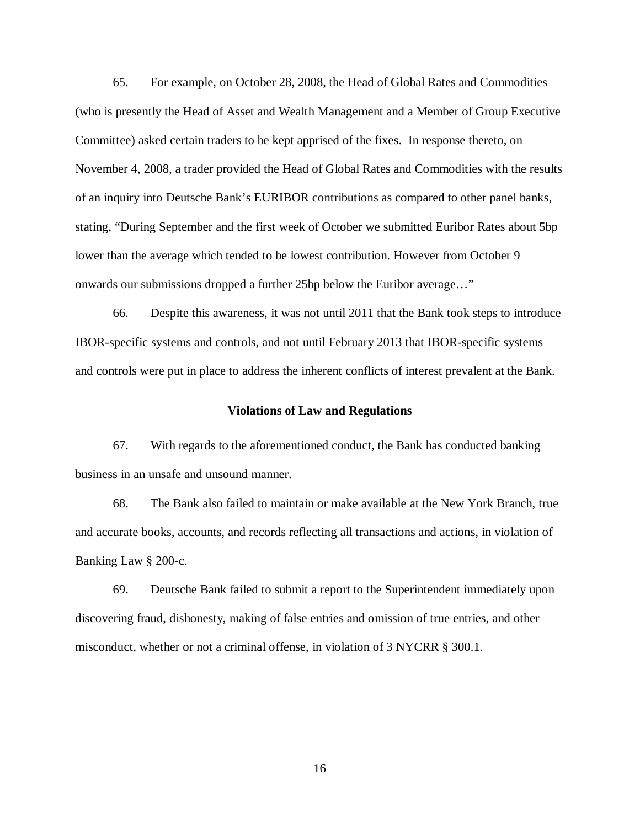65. For example, on October 28, 2008, the Head of Global Rates and Commodities (who is presently the Head of Asset and Wealth Management and a Member of Group Executive Committee) asked certain traders to be kept apprised of the fixes. In response thereto, on November 4, 2008, a trader provided the Head of Global Rates and Commodities with the results of an inquiry into Deutsche Bank's EURIBOR contributions as compared to other panel banks, stating, "During September and the first week of October we submitted Euribor Rates about 5bp lower than the average which tended to be lowest contribution. However from October 9 onwards our submissions dropped a further 25bp below the Euribor average…"

 66. Despite this awareness, it was not until 2011 that the Bank took steps to introduce IBOR-specific systems and controls, and not until February 2013 that IBOR-specific systems and controls were put in place to address the inherent conflicts of interest prevalent at the Bank.

### **Violations of Law and Regulations**

 67. With regards to the aforementioned conduct, the Bank has conducted banking business in an unsafe and unsound manner.

 68. The Bank also failed to maintain or make available at the New York Branch, true and accurate books, accounts, and records reflecting all transactions and actions, in violation of Banking Law § 200-c.

 69. Deutsche Bank failed to submit a report to the Superintendent immediately upon discovering fraud, dishonesty, making of false entries and omission of true entries, and other misconduct, whether or not a criminal offense, in violation of 3 NYCRR § 300.1.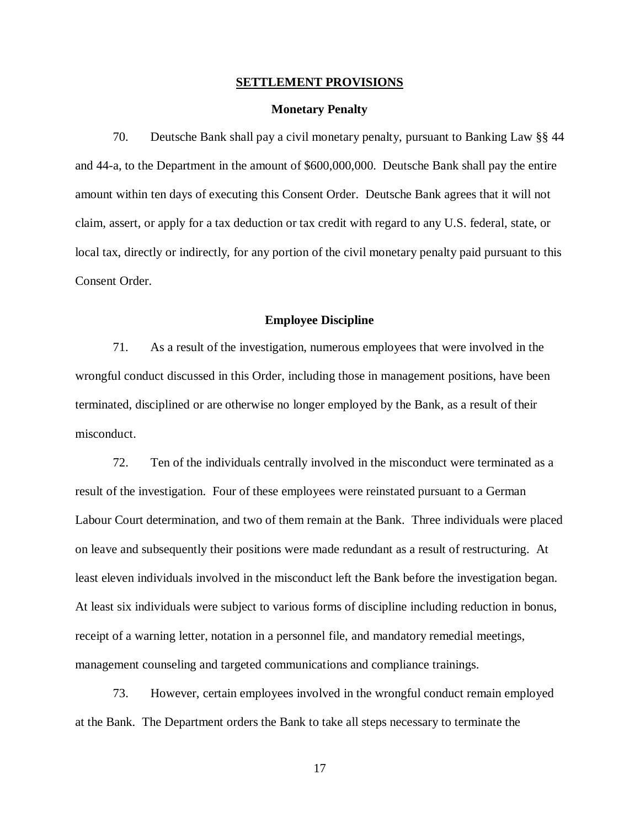# **SETTLEMENT PROVISIONS**<br>Monetary Penalty

 70. Deutsche Bank shall pay a civil monetary penalty, pursuant to Banking Law §§ 44 and 44-a, to the Department in the amount of \$600,000,000. Deutsche Bank shall pay the entire amount within ten days of executing this Consent Order. Deutsche Bank agrees that it will not claim, assert, or apply for a tax deduction or tax credit with regard to any U.S. federal, state, or local tax, directly or indirectly, for any portion of the civil monetary penalty paid pursuant to this Consent Order.

### **Employee Discipline**

 71. As a result of the investigation, numerous employees that were involved in the wrongful conduct discussed in this Order, including those in management positions, have been terminated, disciplined or are otherwise no longer employed by the Bank, as a result of their misconduct.

 72. Ten of the individuals centrally involved in the misconduct were terminated as a result of the investigation. Four of these employees were reinstated pursuant to a German Labour Court determination, and two of them remain at the Bank. Three individuals were placed on leave and subsequently their positions were made redundant as a result of restructuring. At least eleven individuals involved in the misconduct left the Bank before the investigation began. At least six individuals were subject to various forms of discipline including reduction in bonus, receipt of a warning letter, notation in a personnel file, and mandatory remedial meetings, management counseling and targeted communications and compliance trainings.

 73. However, certain employees involved in the wrongful conduct remain employed at the Bank. The Department orders the Bank to take all steps necessary to terminate the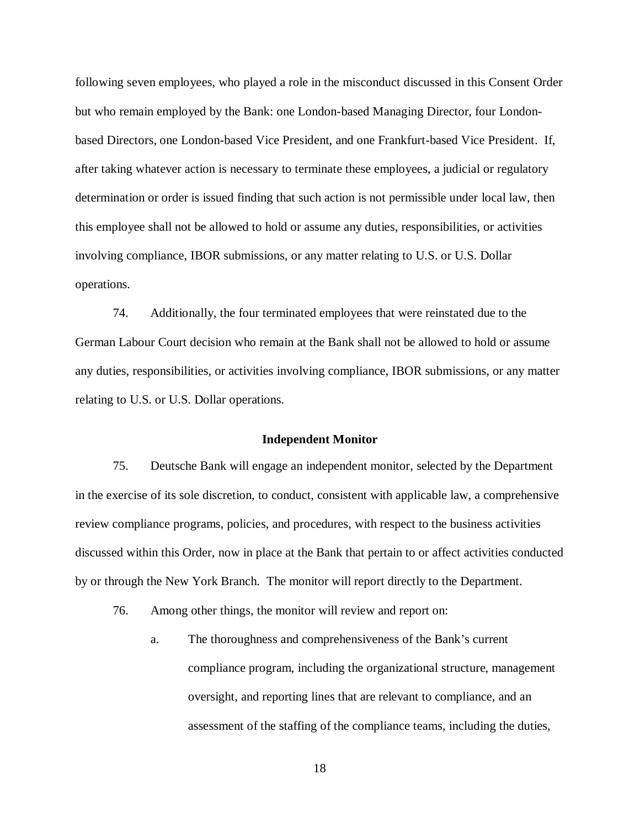following seven employees, who played a role in the misconduct discussed in this Consent Order but who remain employed by the Bank: one London-based Managing Director, four London- based Directors, one London-based Vice President, and one Frankfurt-based Vice President. If, after taking whatever action is necessary to terminate these employees, a judicial or regulatory determination or order is issued finding that such action is not permissible under local law, then this employee shall not be allowed to hold or assume any duties, responsibilities, or activities involving compliance, IBOR submissions, or any matter relating to U.S. or U.S. Dollar operations.

 74. Additionally, the four terminated employees that were reinstated due to the German Labour Court decision who remain at the Bank shall not be allowed to hold or assume any duties, responsibilities, or activities involving compliance, IBOR submissions, or any matter relating to U.S. or U.S. Dollar operations.

### **Independent Monitor**

 75. Deutsche Bank will engage an independent monitor, selected by the Department in the exercise of its sole discretion, to conduct, consistent with applicable law, a comprehensive review compliance programs, policies, and procedures, with respect to the business activities discussed within this Order, now in place at the Bank that pertain to or affect activities conducted by or through the New York Branch. The monitor will report directly to the Department.

- 76. Among other things, the monitor will review and report on: 76.
	- a.The thoroughness and comprehensiveness of the Bank's current compliance program, including the organizational structure, management oversight, and reporting lines that are relevant to compliance, and an assessment of the staffing of the compliance teams, including the duties, a.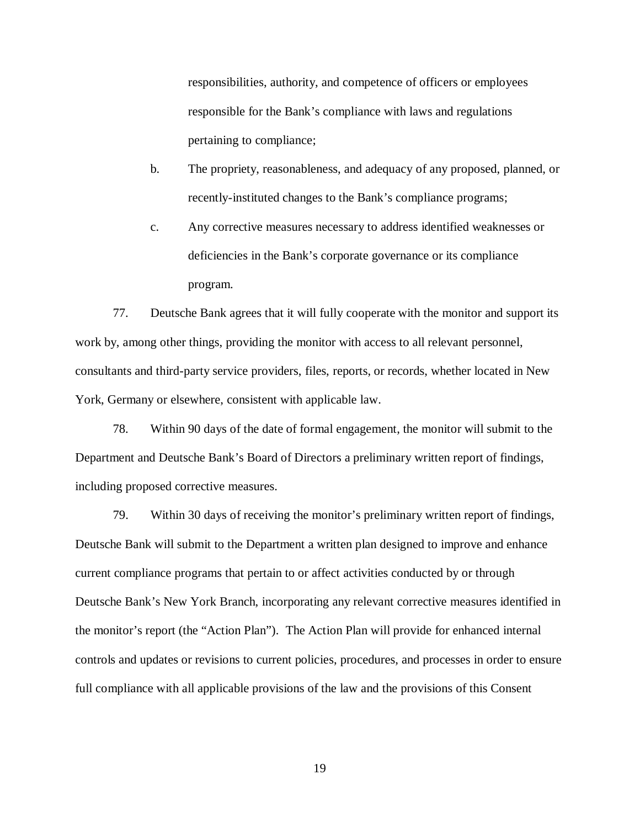responsibilities, authority, and competence of officers or employees responsible for the Bank's compliance with laws and regulations pertaining to compliance;

- b.The propriety, reasonableness, and adequacy of any proposed, planned, or recently-instituted changes to the Bank's compliance programs;  $h_{\cdot}$
- c.Any corrective measures necessary to address identified weaknesses or deficiencies in the Bank's corporate governance or its compliance  $\mathbf{c}$ program.

 77. Deutsche Bank agrees that it will fully cooperate with the monitor and support its work by, among other things, providing the monitor with access to all relevant personnel, consultants and third-party service providers, files, reports, or records, whether located in New York, Germany or elsewhere, consistent with applicable law.

 78. Within 90 days of the date of formal engagement, the monitor will submit to the Department and Deutsche Bank's Board of Directors a preliminary written report of findings, including proposed corrective measures.

 79. Within 30 days of receiving the monitor's preliminary written report of findings, Deutsche Bank will submit to the Department a written plan designed to improve and enhance current compliance programs that pertain to or affect activities conducted by or through Deutsche Bank's New York Branch, incorporating any relevant corrective measures identified in the monitor's report (the "Action Plan"). The Action Plan will provide for enhanced internal controls and updates or revisions to current policies, procedures, and processes in order to ensure full compliance with all applicable provisions of the law and the provisions of this Consent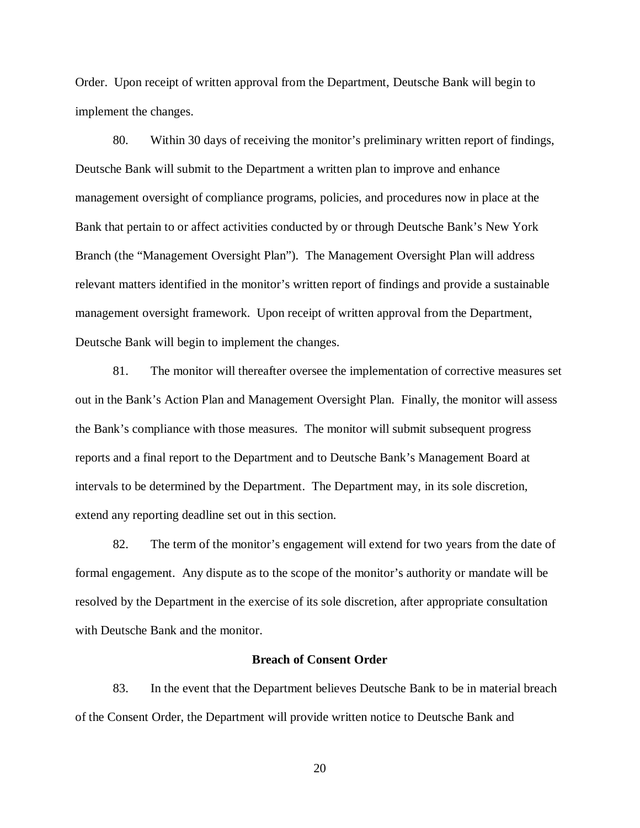Order. Upon receipt of written approval from the Department, Deutsche Bank will begin to implement the changes.

 80. Within 30 days of receiving the monitor's preliminary written report of findings, Deutsche Bank will submit to the Department a written plan to improve and enhance management oversight of compliance programs, policies, and procedures now in place at the Bank that pertain to or affect activities conducted by or through Deutsche Bank's New York Branch (the "Management Oversight Plan"). The Management Oversight Plan will address relevant matters identified in the monitor's written report of findings and provide a sustainable management oversight framework. Upon receipt of written approval from the Department, Deutsche Bank will begin to implement the changes.

 81. The monitor will thereafter oversee the implementation of corrective measures set out in the Bank's Action Plan and Management Oversight Plan. Finally, the monitor will assess the Bank's compliance with those measures. The monitor will submit subsequent progress reports and a final report to the Department and to Deutsche Bank's Management Board at intervals to be determined by the Department. The Department may, in its sole discretion, extend any reporting deadline set out in this section.

 82. The term of the monitor's engagement will extend for two years from the date of formal engagement. Any dispute as to the scope of the monitor's authority or mandate will be resolved by the Department in the exercise of its sole discretion, after appropriate consultation with Deutsche Bank and the monitor.

### **Breach of Consent Order**

 83. In the event that the Department believes Deutsche Bank to be in material breach of the Consent Order, the Department will provide written notice to Deutsche Bank and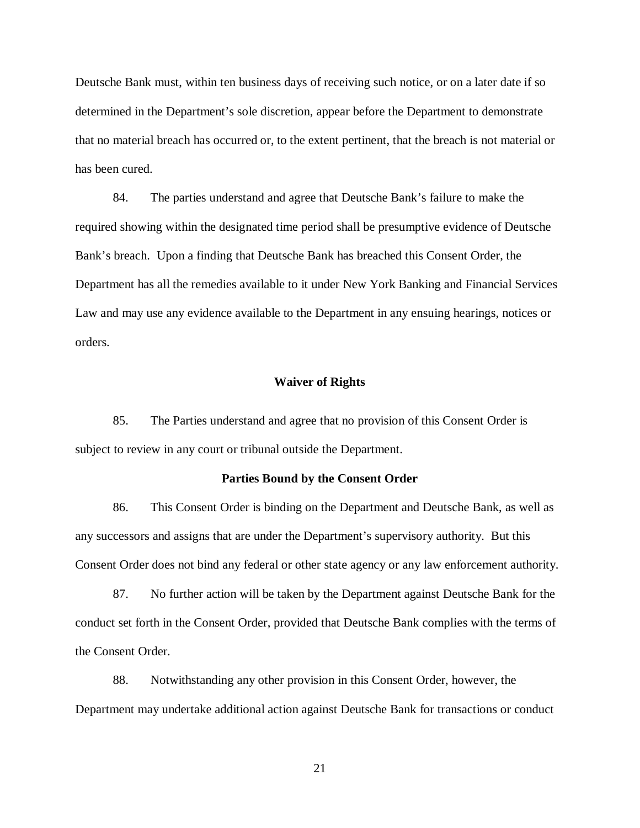Deutsche Bank must, within ten business days of receiving such notice, or on a later date if so determined in the Department's sole discretion, appear before the Department to demonstrate that no material breach has occurred or, to the extent pertinent, that the breach is not material or has been cured.

 84. The parties understand and agree that Deutsche Bank's failure to make the required showing within the designated time period shall be presumptive evidence of Deutsche Bank's breach. Upon a finding that Deutsche Bank has breached this Consent Order, the Department has all the remedies available to it under New York Banking and Financial Services Law and may use any evidence available to the Department in any ensuing hearings, notices or orders.

### **Waiver of Rights**

 85. The Parties understand and agree that no provision of this Consent Order is subject to review in any court or tribunal outside the Department.

### **Parties Bound by the Consent Order**

 86. This Consent Order is binding on the Department and Deutsche Bank, as well as any successors and assigns that are under the Department's supervisory authority. But this Consent Order does not bind any federal or other state agency or any law enforcement authority.

 87. No further action will be taken by the Department against Deutsche Bank for the conduct set forth in the Consent Order, provided that Deutsche Bank complies with the terms of the Consent Order.

 88. Notwithstanding any other provision in this Consent Order, however, the Department may undertake additional action against Deutsche Bank for transactions or conduct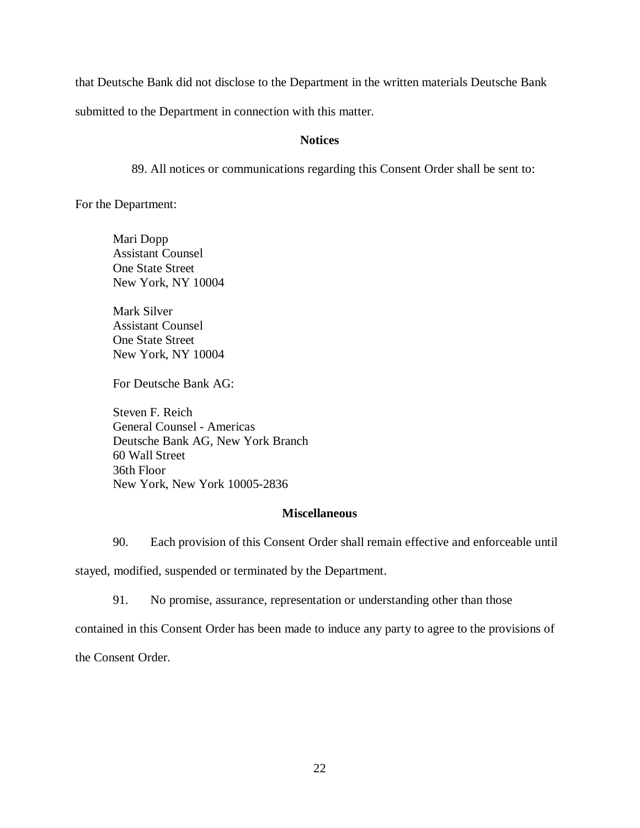that Deutsche Bank did not disclose to the Department in the written materials Deutsche Bank

submitted to the Department in connection with this matter.

### **Notices**

89. All notices or communications regarding this Consent Order shall be sent to:

For the Department:

Dopp Counsel **State Street** NY 10004

Counsel **State Street** NY 10004 Ċ, Mari Dopp<br>Assistant Counsel<br>One State Street<br>Mark Silver<br>Assistant Counsel<br>One State Street<br>New York, NY 10004<br>For Deutsche Bank AG:

For Deutsche Bank AG:

F. Reich Counsel - Americas Bank AG, New York Branch Street Floor New York, New York 10005-2836 Steven F. Reich<br>General Counsel - Americas<br>Deutsche Bank AG, New York Branch<br>60 Wall Street<br>36th Floor<br>New York, New York 10005-2836

### **Miscellaneous**

90. Each provision of this Consent Order shall remain effective and enforceable until

stayed, modified, suspended or terminated by the Department.

91. No promise, assurance, representation or understanding other than those

contained in this Consent Order has been made to induce any party to agree to the provisions of

the Consent Order.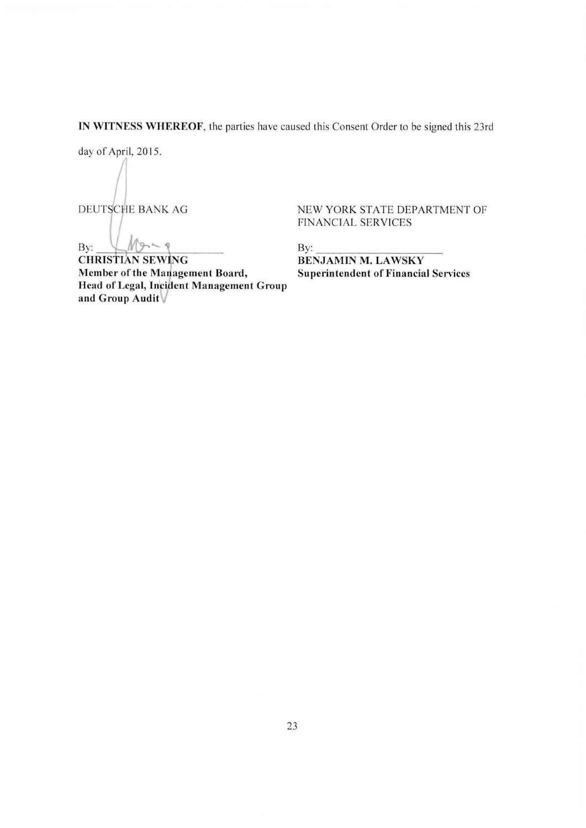IN WITNESS WHEREOF, the parties have caused this Consent Order to be signed this 23rd

day of April, 2015.

 $\sqrt{2}$ 

 $M_{9.50}$ By:

**CHRISTIAN SEWING** Member of the Management Board, Superintendent of Financial Services Head of Legal, Incident Management Group and Group Audit

DEUTSCHE BANK AG NEW YORK STATE DEPARTMENT OF FINANCIAL SERVICES

By:

By:<br>BENJAMIN M. LAWSKY